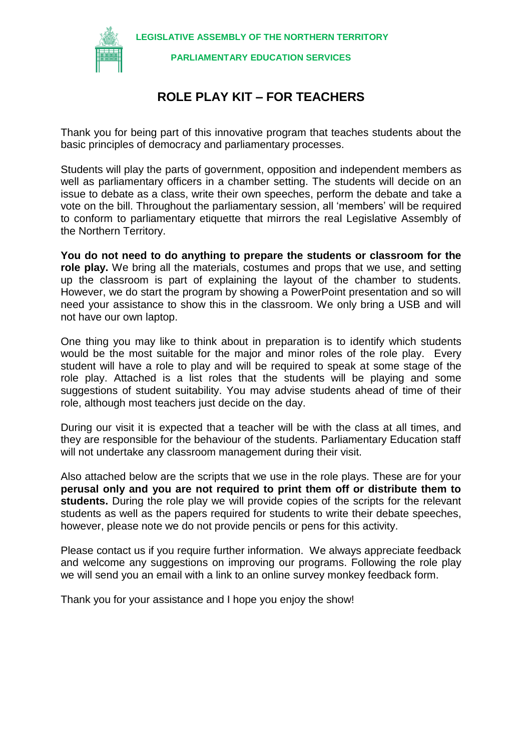**LEGISLATIVE ASSEMBLY OF THE NORTHERN TERRITORY**



**PARLIAMENTARY EDUCATION SERVICES**

#### **ROLE PLAY KIT – FOR TEACHERS**

Thank you for being part of this innovative program that teaches students about the basic principles of democracy and parliamentary processes.

Students will play the parts of government, opposition and independent members as well as parliamentary officers in a chamber setting. The students will decide on an issue to debate as a class, write their own speeches, perform the debate and take a vote on the bill. Throughout the parliamentary session, all 'members' will be required to conform to parliamentary etiquette that mirrors the real Legislative Assembly of the Northern Territory.

**You do not need to do anything to prepare the students or classroom for the role play.** We bring all the materials, costumes and props that we use, and setting up the classroom is part of explaining the layout of the chamber to students. However, we do start the program by showing a PowerPoint presentation and so will need your assistance to show this in the classroom. We only bring a USB and will not have our own laptop.

One thing you may like to think about in preparation is to identify which students would be the most suitable for the major and minor roles of the role play. Every student will have a role to play and will be required to speak at some stage of the role play. Attached is a list roles that the students will be playing and some suggestions of student suitability. You may advise students ahead of time of their role, although most teachers just decide on the day.

During our visit it is expected that a teacher will be with the class at all times, and they are responsible for the behaviour of the students. Parliamentary Education staff will not undertake any classroom management during their visit.

Also attached below are the scripts that we use in the role plays. These are for your **perusal only and you are not required to print them off or distribute them to students.** During the role play we will provide copies of the scripts for the relevant students as well as the papers required for students to write their debate speeches, however, please note we do not provide pencils or pens for this activity.

Please contact us if you require further information. We always appreciate feedback and welcome any suggestions on improving our programs. Following the role play we will send you an email with a link to an online survey monkey feedback form.

Thank you for your assistance and I hope you enjoy the show!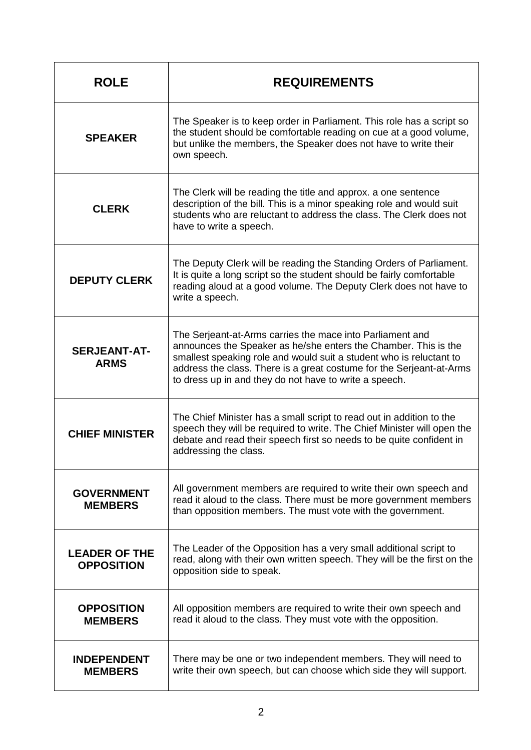| <b>ROLE</b>                               | <b>REQUIREMENTS</b>                                                                                                                                                                                                                                                                                                                   |
|-------------------------------------------|---------------------------------------------------------------------------------------------------------------------------------------------------------------------------------------------------------------------------------------------------------------------------------------------------------------------------------------|
| <b>SPEAKER</b>                            | The Speaker is to keep order in Parliament. This role has a script so<br>the student should be comfortable reading on cue at a good volume,<br>but unlike the members, the Speaker does not have to write their<br>own speech.                                                                                                        |
| <b>CLERK</b>                              | The Clerk will be reading the title and approx. a one sentence<br>description of the bill. This is a minor speaking role and would suit<br>students who are reluctant to address the class. The Clerk does not<br>have to write a speech.                                                                                             |
| <b>DEPUTY CLERK</b>                       | The Deputy Clerk will be reading the Standing Orders of Parliament.<br>It is quite a long script so the student should be fairly comfortable<br>reading aloud at a good volume. The Deputy Clerk does not have to<br>write a speech.                                                                                                  |
| <b>SERJEANT-AT-</b><br><b>ARMS</b>        | The Serjeant-at-Arms carries the mace into Parliament and<br>announces the Speaker as he/she enters the Chamber. This is the<br>smallest speaking role and would suit a student who is reluctant to<br>address the class. There is a great costume for the Serjeant-at-Arms<br>to dress up in and they do not have to write a speech. |
| <b>CHIEF MINISTER</b>                     | The Chief Minister has a small script to read out in addition to the<br>speech they will be required to write. The Chief Minister will open the<br>debate and read their speech first so needs to be quite confident in<br>addressing the class.                                                                                      |
| <b>GOVERNMENT</b><br><b>MEMBERS</b>       | All government members are required to write their own speech and<br>read it aloud to the class. There must be more government members<br>than opposition members. The must vote with the government.                                                                                                                                 |
| <b>LEADER OF THE</b><br><b>OPPOSITION</b> | The Leader of the Opposition has a very small additional script to<br>read, along with their own written speech. They will be the first on the<br>opposition side to speak.                                                                                                                                                           |
| <b>OPPOSITION</b><br><b>MEMBERS</b>       | All opposition members are required to write their own speech and<br>read it aloud to the class. They must vote with the opposition.                                                                                                                                                                                                  |
| <b>INDEPENDENT</b><br><b>MEMBERS</b>      | There may be one or two independent members. They will need to<br>write their own speech, but can choose which side they will support.                                                                                                                                                                                                |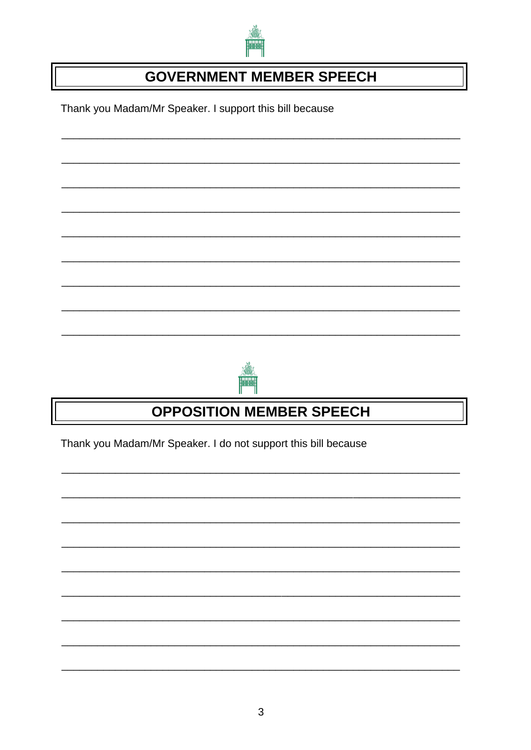

#### **GOVERNMENT MEMBER SPEECH**

Thank you Madam/Mr Speaker. I support this bill because





## **OPPOSITION MEMBER SPEECH**

Thank you Madam/Mr Speaker. I do not support this bill because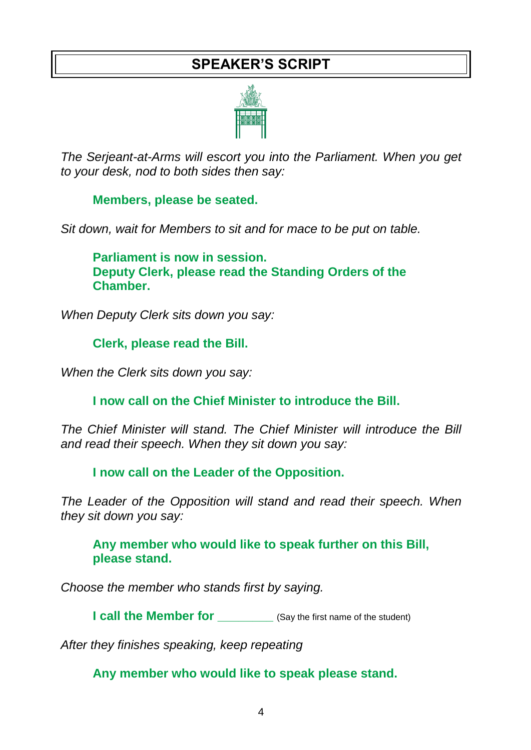#### **SPEAKER'S SCRIPT**



*The Serjeant-at-Arms will escort you into the Parliament. When you get to your desk, nod to both sides then say:*

**Members, please be seated.**

*Sit down, wait for Members to sit and for mace to be put on table.*

**Parliament is now in session. Deputy Clerk, please read the Standing Orders of the Chamber.**

*When Deputy Clerk sits down you say:*

**Clerk, please read the Bill.**

*When the Clerk sits down you say:*

**I now call on the Chief Minister to introduce the Bill.**

*The Chief Minister will stand. The Chief Minister will introduce the Bill and read their speech. When they sit down you say:*

**I now call on the Leader of the Opposition.**

*The Leader of the Opposition will stand and read their speech. When they sit down you say:*

**Any member who would like to speak further on this Bill, please stand.** 

*Choose the member who stands first by saying.*

**I call the Member for** (Say the first name of the student)

*After they finishes speaking, keep repeating*

**Any member who would like to speak please stand.**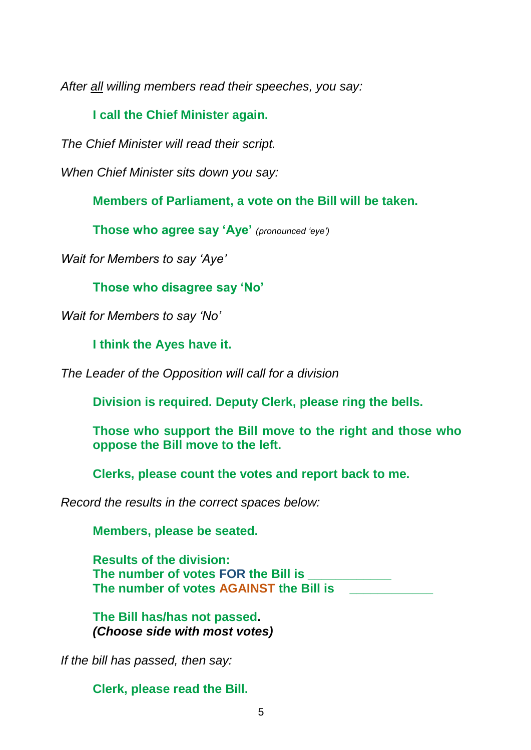*After all willing members read their speeches, you say:*

#### **I call the Chief Minister again.**

*The Chief Minister will read their script.* 

*When Chief Minister sits down you say:*

**Members of Parliament, a vote on the Bill will be taken.**

**Those who agree say 'Aye'** *(pronounced 'eye')*

*Wait for Members to say 'Aye'*

**Those who disagree say 'No'**

*Wait for Members to say 'No'*

**I think the Ayes have it.**

*The Leader of the Opposition will call for a division*

**Division is required. Deputy Clerk, please ring the bells.**

**Those who support the Bill move to the right and those who oppose the Bill move to the left.**

**Clerks, please count the votes and report back to me.**

*Record the results in the correct spaces below:*

**Members, please be seated.**

**Results of the division: The number of votes FOR the Bill is \_\_\_\_\_\_\_\_\_\_\_\_ The number of votes AGAINST the Bill is \_\_\_\_\_\_\_\_\_\_\_\_**

**The Bill has/has not passed.**  *(Choose side with most votes)*

*If the bill has passed, then say:*

**Clerk, please read the Bill.**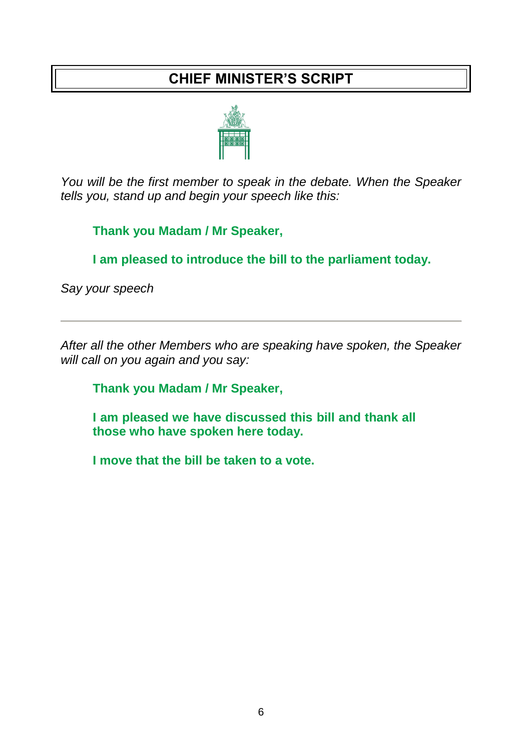#### **CHIEF MINISTER'S SCRIPT**



*You will be the first member to speak in the debate. When the Speaker tells you, stand up and begin your speech like this:*

**Thank you Madam / Mr Speaker,**

**I am pleased to introduce the bill to the parliament today.**

*Say your speech*

*After all the other Members who are speaking have spoken, the Speaker will call on you again and you say:*

**Thank you Madam / Mr Speaker,**

**I am pleased we have discussed this bill and thank all those who have spoken here today.** 

**I move that the bill be taken to a vote.**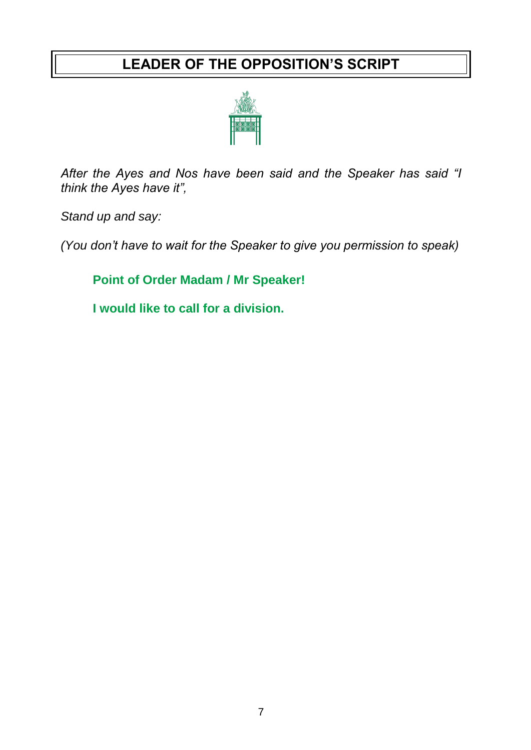#### **LEADER OF THE OPPOSITION'S SCRIPT**



*After the Ayes and Nos have been said and the Speaker has said "I think the Ayes have it",* 

*Stand up and say:* 

*(You don't have to wait for the Speaker to give you permission to speak)*

**Point of Order Madam / Mr Speaker!**

**I would like to call for a division.**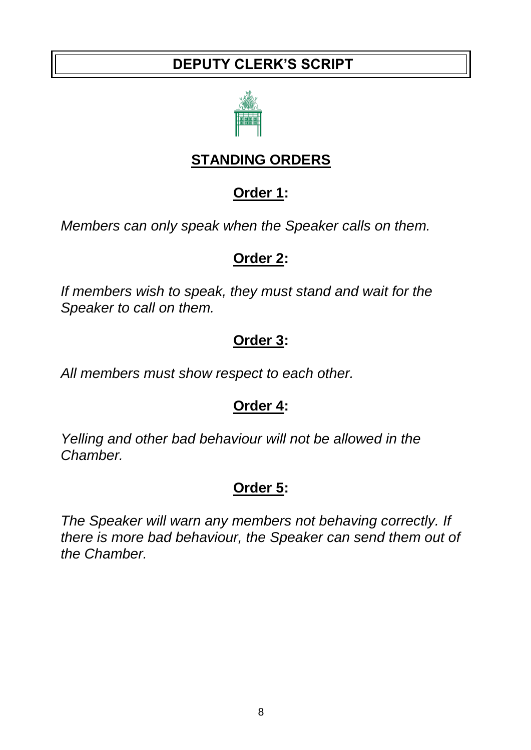#### **DEPUTY CLERK'S SCRIPT**



### **STANDING ORDERS**

#### **Order 1:**

*Members can only speak when the Speaker calls on them.*

#### **Order 2:**

*If members wish to speak, they must stand and wait for the Speaker to call on them.* 

### **Order 3:**

*All members must show respect to each other.*

### **Order 4:**

*Yelling and other bad behaviour will not be allowed in the Chamber.*

## **Order 5:**

*The Speaker will warn any members not behaving correctly. If there is more bad behaviour, the Speaker can send them out of the Chamber.*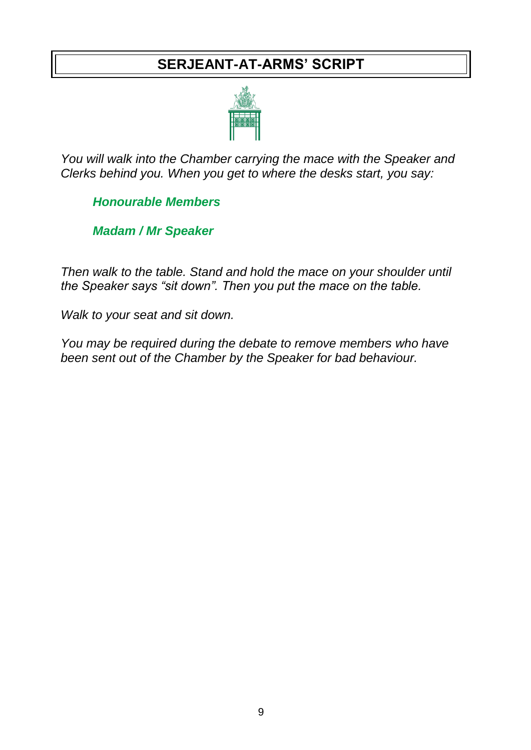#### **SERJEANT-AT-ARMS' SCRIPT**



*You will walk into the Chamber carrying the mace with the Speaker and Clerks behind you. When you get to where the desks start, you say:*

*Honourable Members*

*Madam / Mr Speaker*

*Then walk to the table. Stand and hold the mace on your shoulder until the Speaker says "sit down". Then you put the mace on the table.*

*Walk to your seat and sit down.*

*You may be required during the debate to remove members who have been sent out of the Chamber by the Speaker for bad behaviour.*